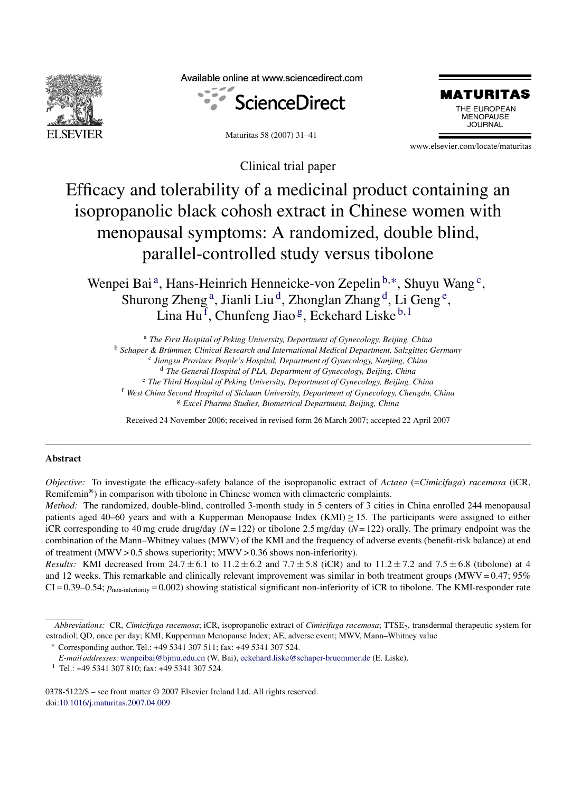

Available online at www.sciencedirect.com



Maturitas 58 (2007) 31–41



www.elsevier.com/locate/maturitas

Clinical trial paper

# Efficacy and tolerability of a medicinal product containing an isopropanolic black cohosh extract in Chinese women with menopausal symptoms: A randomized, double blind, parallel-controlled study versus tibolone

Wenpei Bai<sup>a</sup>, Hans-Heinrich Henneicke-von Zepelin<sup>b,∗</sup>, Shuyu Wang<sup>c</sup>, Shurong Zheng<sup>a</sup>, Jianli Liu<sup>d</sup>, Zhonglan Zhang<sup>d</sup>, Li Geng<sup>e</sup>, Lina Hu<sup>f</sup>, Chunfeng Jiao<sup>g</sup>, Eckehard Liske<sup>b, 1</sup>

<sup>a</sup> *The First Hospital of Peking University, Department of Gynecology, Beijing, China*

<sup>b</sup> Schaper & Brümmer, Clinical Research and International Medical Department, Salzgitter, Germany

<sup>c</sup> *Jiangsu Province People's Hospital, Department of Gynecology, Nanjing, China*

<sup>d</sup> *The General Hospital of PLA, Department of Gynecology, Beijing, China*

<sup>e</sup> *The Third Hospital of Peking University, Department of Gynecology, Beijing, China*

<sup>f</sup> *West China Second Hospital of Sichuan University, Department of Gynecology, Chengdu, China*

<sup>g</sup> *Excel Pharma Studies, Biometrical Department, Beijing, China*

Received 24 November 2006; received in revised form 26 March 2007; accepted 22 April 2007

# **Abstract**

*Objective:* To investigate the efficacy-safety balance of the isopropanolic extract of *Actaea* (=*Cimicifuga*) *racemosa* (iCR, Remifemin®) in comparison with tibolone in Chinese women with climacteric complaints.

*Method:* The randomized, double-blind, controlled 3-month study in 5 centers of 3 cities in China enrolled 244 menopausal patients aged 40–60 years and with a Kupperman Menopause Index (KMI)  $\geq$  15. The participants were assigned to either iCR corresponding to 40 mg crude drug/day (*N*= 122) or tibolone 2.5 mg/day (*N*= 122) orally. The primary endpoint was the combination of the Mann–Whitney values (MWV) of the KMI and the frequency of adverse events (benefit-risk balance) at end of treatment (MWV > 0.5 shows superiority; MWV > 0.36 shows non-inferiority).

*Results:* KMI decreased from  $24.7 \pm 6.1$  to  $11.2 \pm 6.2$  and  $7.7 \pm 5.8$  (iCR) and to  $11.2 \pm 7.2$  and  $7.5 \pm 6.8$  (tibolone) at 4 and 12 weeks. This remarkable and clinically relevant improvement was similar in both treatment groups (MWV = 0.47; 95%  $CI = 0.39 - 0.54$ ;  $p_{\text{non-inferionity}} = 0.002$ ) showing statistical significant non-inferiority of iCR to tibolone. The KMI-responder rate

∗ Corresponding author. Tel.: +49 5341 307 511; fax: +49 5341 307 524.

<sup>1</sup> Tel.: +49 5341 307 810; fax: +49 5341 307 524.

0378-5122/\$ – see front matter © 2007 Elsevier Ireland Ltd. All rights reserved. doi:[10.1016/j.maturitas.2007.04.009](dx.doi.org/10.1016/j.maturitas.2007.04.009)

*Abbreviations:* CR, *Cimicifuga racemosa*; iCR, isopropanolic extract of *Cimicifuga racemosa*; TTSE2, transdermal therapeutic system for estradiol; QD, once per day; KMI, Kupperman Menopause Index; AE, adverse event; MWV, Mann–Whitney value

*E-mail addresses:*[wenpeibai@bjmu.edu.cn](mailto:wenpeibai@bjmu.edu.cn) (W. Bai), [eckehard.liske@schaper-bruemmer.de](mailto:eckehard.liske@schaper-bruemmer.de) (E. Liske).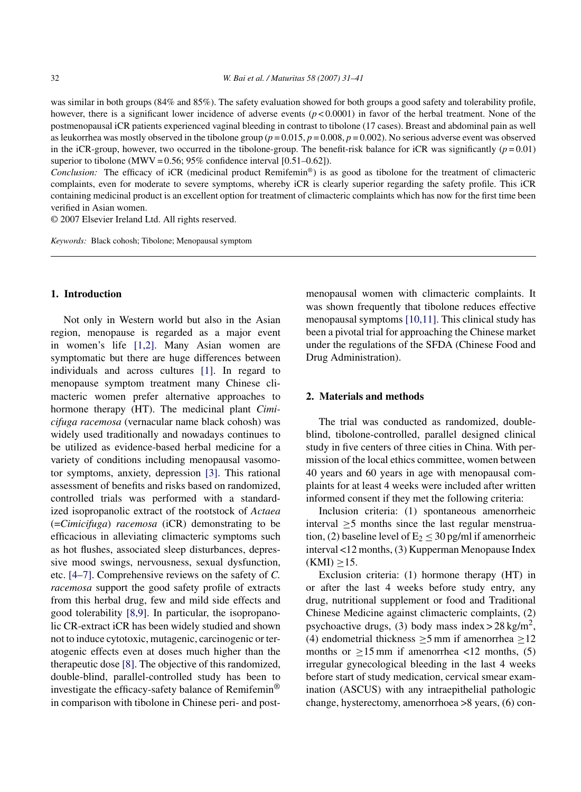was similar in both groups (84% and 85%). The safety evaluation showed for both groups a good safety and tolerability profile, however, there is a significant lower incidence of adverse events ( $p < 0.0001$ ) in favor of the herbal treatment. None of the postmenopausal iCR patients experienced vaginal bleeding in contrast to tibolone (17 cases). Breast and abdominal pain as well as leukorrhea was mostly observed in the tibolone group (*p* = 0.015, *p* = 0.008, *p* = 0.002). No serious adverse event was observed in the iCR-group, however, two occurred in the tibolone-group. The benefit-risk balance for iCR was significantly  $(p = 0.01)$ superior to tibolone (MWV =  $0.56$ ;  $95\%$  confidence interval [ $0.51-0.62$ ]).

*Conclusion:* The efficacy of iCR (medicinal product Remifemin®) is as good as tibolone for the treatment of climacteric complaints, even for moderate to severe symptoms, whereby iCR is clearly superior regarding the safety profile. This iCR containing medicinal product is an excellent option for treatment of climacteric complaints which has now for the first time been verified in Asian women.

© 2007 Elsevier Ireland Ltd. All rights reserved.

*Keywords:* Black cohosh; Tibolone; Menopausal symptom

# **1. Introduction**

Not only in Western world but also in the Asian region, menopause is regarded as a major event in women's life [\[1,2\].](#page-8-0) Many Asian women are symptomatic but there are huge differences between individuals and across cultures [\[1\].](#page-8-0) In regard to menopause symptom treatment many Chinese climacteric women prefer alternative approaches to hormone therapy (HT). The medicinal plant *Cimicifuga racemosa* (vernacular name black cohosh) was widely used traditionally and nowadays continues to be utilized as evidence-based herbal medicine for a variety of conditions including menopausal vasomotor symptoms, anxiety, depression [\[3\].](#page-8-0) This rational assessment of benefits and risks based on randomized, controlled trials was performed with a standardized isopropanolic extract of the rootstock of *Actaea* (=*Cimicifuga*) *racemosa* (iCR) demonstrating to be efficacious in alleviating climacteric symptoms such as hot flushes, associated sleep disturbances, depressive mood swings, nervousness, sexual dysfunction, etc. [\[4–7\]. C](#page-9-0)omprehensive reviews on the safety of *C. racemosa* support the good safety profile of extracts from this herbal drug, few and mild side effects and good tolerability [\[8,9\].](#page-9-0) In particular, the isopropanolic CR-extract iCR has been widely studied and shown not to induce cytotoxic, mutagenic, carcinogenic or teratogenic effects even at doses much higher than the therapeutic dose [\[8\]. T](#page-9-0)he objective of this randomized, double-blind, parallel-controlled study has been to investigate the efficacy-safety balance of Remifemin® in comparison with tibolone in Chinese peri- and postmenopausal women with climacteric complaints. It was shown frequently that tibolone reduces effective menopausal symptoms [\[10,11\]. T](#page-9-0)his clinical study has been a pivotal trial for approaching the Chinese market under the regulations of the SFDA (Chinese Food and Drug Administration).

## **2. Materials and methods**

The trial was conducted as randomized, doubleblind, tibolone-controlled, parallel designed clinical study in five centers of three cities in China. With permission of the local ethics committee, women between 40 years and 60 years in age with menopausal complaints for at least 4 weeks were included after written informed consent if they met the following criteria:

Inclusion criteria: (1) spontaneous amenorrheic interval ≥5 months since the last regular menstruation, (2) baseline level of  $E_2 \leq 30$  pg/ml if amenorrheic interval <12 months, (3) Kupperman Menopause Index  $(KMI) > 15.$ 

Exclusion criteria: (1) hormone therapy (HT) in or after the last 4 weeks before study entry, any drug, nutritional supplement or food and Traditional Chinese Medicine against climacteric complaints, (2) psychoactive drugs, (3) body mass index  $> 28 \text{ kg/m}^2$ , (4) endometrial thickness  $>5$  mm if amenorrhea  $>12$ months or  $>15$  mm if amenorrhea <12 months, (5) irregular gynecological bleeding in the last 4 weeks before start of study medication, cervical smear examination (ASCUS) with any intraepithelial pathologic change, hysterectomy, amenorrhoea >8 years, (6) con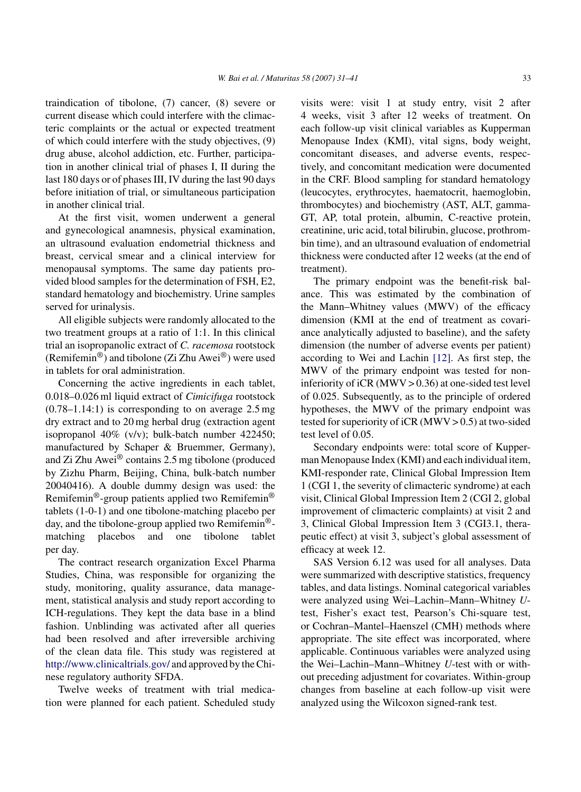traindication of tibolone, (7) cancer, (8) severe or current disease which could interfere with the climacteric complaints or the actual or expected treatment of which could interfere with the study objectives, (9) drug abuse, alcohol addiction, etc. Further, participation in another clinical trial of phases I, II during the last 180 days or of phases III, IV during the last 90 days before initiation of trial, or simultaneous participation in another clinical trial.

At the first visit, women underwent a general and gynecological anamnesis, physical examination, an ultrasound evaluation endometrial thickness and breast, cervical smear and a clinical interview for menopausal symptoms. The same day patients provided blood samples for the determination of FSH, E2, standard hematology and biochemistry. Urine samples served for urinalysis.

All eligible subjects were randomly allocated to the two treatment groups at a ratio of 1:1. In this clinical trial an isopropanolic extract of *C. racemosa* rootstock (Remifemin<sup>®</sup>) and tibolone (Zi Zhu Awei<sup>®</sup>) were used in tablets for oral administration.

Concerning the active ingredients in each tablet, 0.018–0.026 ml liquid extract of *Cimicifuga* rootstock  $(0.78-1.14:1)$  is corresponding to on average 2.5 mg dry extract and to 20 mg herbal drug (extraction agent isopropanol 40% (v/v); bulk-batch number 422450; manufactured by Schaper & Bruemmer, Germany), and Zi Zhu Awei® contains 2.5 mg tibolone (produced by Zizhu Pharm, Beijing, China, bulk-batch number 20040416). A double dummy design was used: the Remifemin®-group patients applied two Remifemin® tablets (1-0-1) and one tibolone-matching placebo per day, and the tibolone-group applied two Remifemin® matching placebos and one tibolone tablet per day.

The contract research organization Excel Pharma Studies, China, was responsible for organizing the study, monitoring, quality assurance, data management, statistical analysis and study report according to ICH-regulations. They kept the data base in a blind fashion. Unblinding was activated after all queries had been resolved and after irreversible archiving of the clean data file. This study was registered at <http://www.clinicaltrials.gov/> and approved by the Chinese regulatory authority SFDA.

Twelve weeks of treatment with trial medication were planned for each patient. Scheduled study visits were: visit 1 at study entry, visit 2 after 4 weeks, visit 3 after 12 weeks of treatment. On each follow-up visit clinical variables as Kupperman Menopause Index (KMI), vital signs, body weight, concomitant diseases, and adverse events, respectively, and concomitant medication were documented in the CRF. Blood sampling for standard hematology (leucocytes, erythrocytes, haematocrit, haemoglobin, thrombocytes) and biochemistry (AST, ALT, gamma-GT, AP, total protein, albumin, C-reactive protein, creatinine, uric acid, total bilirubin, glucose, prothrombin time), and an ultrasound evaluation of endometrial thickness were conducted after 12 weeks (at the end of treatment).

The primary endpoint was the benefit-risk balance. This was estimated by the combination of the Mann–Whitney values (MWV) of the efficacy dimension (KMI at the end of treatment as covariance analytically adjusted to baseline), and the safety dimension (the number of adverse events per patient) according to Wei and Lachin [\[12\].](#page-9-0) As first step, the MWV of the primary endpoint was tested for noninferiority of iCR (MWV  $> 0.36$ ) at one-sided test level of 0.025. Subsequently, as to the principle of ordered hypotheses, the MWV of the primary endpoint was tested for superiority of iCR (MWV  $> 0.5$ ) at two-sided test level of 0.05.

Secondary endpoints were: total score of Kupperman Menopause Index (KMI) and each individual item, KMI-responder rate, Clinical Global Impression Item 1 (CGI 1, the severity of climacteric syndrome) at each visit, Clinical Global Impression Item 2 (CGI 2, global improvement of climacteric complaints) at visit 2 and 3, Clinical Global Impression Item 3 (CGI3.1, therapeutic effect) at visit 3, subject's global assessment of efficacy at week 12.

SAS Version 6.12 was used for all analyses. Data were summarized with descriptive statistics, frequency tables, and data listings. Nominal categorical variables were analyzed using Wei–Lachin–Mann–Whitney *U*test, Fisher's exact test, Pearson's Chi-square test, or Cochran–Mantel–Haenszel (CMH) methods where appropriate. The site effect was incorporated, where applicable. Continuous variables were analyzed using the Wei–Lachin–Mann–Whitney *U*-test with or without preceding adjustment for covariates. Within-group changes from baseline at each follow-up visit were analyzed using the Wilcoxon signed-rank test.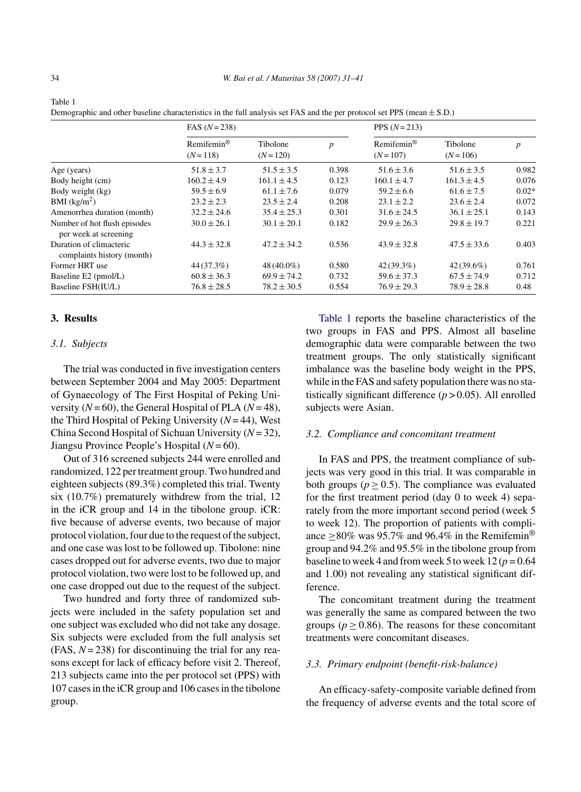|                                                       | FAS $(N=238)$                          |                         |                  | PPS $(N = 213)$                      |                       |                  |  |
|-------------------------------------------------------|----------------------------------------|-------------------------|------------------|--------------------------------------|-----------------------|------------------|--|
|                                                       | $Remifemin^{\circledR}$<br>$(N = 118)$ | Tibolone<br>$(N = 120)$ | $\boldsymbol{p}$ | $Remifemin^{\otimes}$<br>$(N = 107)$ | Tibolone<br>$(N=106)$ | $\boldsymbol{p}$ |  |
| Age (years)                                           | $51.8 \pm 3.7$                         | $51.5 \pm 3.5$          | 0.398            | $51.6 \pm 3.6$                       | $51.6 \pm 3.5$        | 0.982            |  |
| Body height (cm)                                      | $160.2 \pm 4.9$                        | $161.1 \pm 4.5$         | 0.123            | $160.1 \pm 4.7$                      | $161.3 \pm 4.5$       | 0.076            |  |
| Body weight (kg)                                      | $59.5 \pm 6.9$                         | $61.1 \pm 7.6$          | 0.079            | $59.2 + 6.6$                         | $61.6 \pm 7.5$        | $0.02*$          |  |
| BMI $(kg/m2)$                                         | $23.2 \pm 2.3$                         | $23.5 \pm 2.4$          | 0.208            | $23.1 \pm 2.2$                       | $23.6 + 2.4$          | 0.072            |  |
| Amenorrhea duration (month)                           | $32.2 \pm 24.6$                        | $35.4 \pm 25.3$         | 0.301            | $31.6 \pm 24.5$                      | $36.1 \pm 25.1$       | 0.143            |  |
| Number of hot flush episodes<br>per week at screening | $30.0 \pm 26.1$                        | $30.1 \pm 20.1$         | 0.182            | $29.9 \pm 26.3$                      | $29.8 \pm 19.7$       | 0.221            |  |
| Duration of climacteric<br>complaints history (month) | $44.3 \pm 32.8$                        | $47.2 \pm 34.2$         | 0.536            | $43.9 \pm 32.8$                      | $47.5 \pm 33.6$       | 0.403            |  |
| Former HRT use                                        | 44 (37.3%)                             | 48 (40.0%)              | 0.580            | 42(39.3%)                            | $42(39.6\%)$          | 0.761            |  |
| Baseline E2 (pmol/L)                                  | $60.8 \pm 36.3$                        | $69.9 + 74.2$           | 0.732            | $59.6 \pm 37.3$                      | $67.5 + 74.9$         | 0.712            |  |
| Baseline FSH(IU/L)                                    | $76.8 \pm 28.5$                        | $78.2 \pm 30.5$         | 0.554            | $76.9 \pm 29.3$                      | $78.9 \pm 28.8$       | 0.48             |  |

Demographic and other baseline characteristics in the full analysis set FAS and the per protocol set PPS (mean  $\pm$  S.D.)

# **3. Results**

# *3.1. Subjects*

The trial was conducted in five investigation centers between September 2004 and May 2005: Department of Gynaecology of The First Hospital of Peking University  $(N=60)$ , the General Hospital of PLA  $(N=48)$ , the Third Hospital of Peking University (*N*= 44), West China Second Hospital of Sichuan University (*N*= 32), Jiangsu Province People's Hospital (*N*= 60).

Out of 316 screened subjects 244 were enrolled and randomized, 122 per treatment group. Two hundred and eighteen subjects (89.3%) completed this trial. Twenty six (10.7%) prematurely withdrew from the trial, 12 in the iCR group and 14 in the tibolone group. iCR: five because of adverse events, two because of major protocol violation, four due to the request of the subject, and one case was lost to be followed up. Tibolone: nine cases dropped out for adverse events, two due to major protocol violation, two were lost to be followed up, and one case dropped out due to the request of the subject.

Two hundred and forty three of randomized subjects were included in the safety population set and one subject was excluded who did not take any dosage. Six subjects were excluded from the full analysis set (FAS, *N*= 238) for discontinuing the trial for any reasons except for lack of efficacy before visit 2. Thereof, 213 subjects came into the per protocol set (PPS) with 107 cases in the iCR group and 106 cases in the tibolone group.

Table 1 reports the baseline characteristics of the two groups in FAS and PPS. Almost all baseline demographic data were comparable between the two treatment groups. The only statistically significant imbalance was the baseline body weight in the PPS, while in the FAS and safety population there was no statistically significant difference  $(p > 0.05)$ . All enrolled subjects were Asian.

# *3.2. Compliance and concomitant treatment*

In FAS and PPS, the treatment compliance of subjects was very good in this trial. It was comparable in both groups ( $p \ge 0.5$ ). The compliance was evaluated for the first treatment period (day 0 to week 4) separately from the more important second period (week 5 to week 12). The proportion of patients with compliance >80% was 95.7% and 96.4% in the Remifemin<sup>®</sup> group and 94.2% and 95.5% in the tibolone group from baseline to week 4 and from week 5 to week  $12 (p = 0.64)$ and 1.00) not revealing any statistical significant difference.

The concomitant treatment during the treatment was generally the same as compared between the two groups  $(p > 0.86)$ . The reasons for these concomitant treatments were concomitant diseases.

## *3.3. Primary endpoint (benefit-risk-balance)*

An efficacy-safety-composite variable defined from the frequency of adverse events and the total score of

Table 1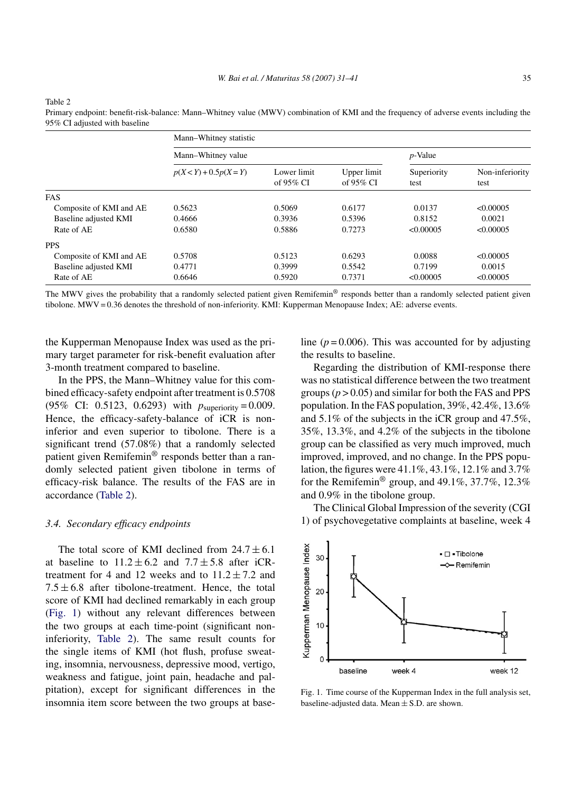|                         | Mann-Whitney statistic   |                             |                             |                     |                         |  |  |
|-------------------------|--------------------------|-----------------------------|-----------------------------|---------------------|-------------------------|--|--|
|                         | Mann-Whitney value       | $p$ -Value                  |                             |                     |                         |  |  |
|                         | $p(X < Y) + 0.5p(X = Y)$ | Lower limit<br>of $95\%$ CI | Upper limit<br>of $95\%$ CI | Superiority<br>test | Non-inferiority<br>test |  |  |
| <b>FAS</b>              |                          |                             |                             |                     |                         |  |  |
| Composite of KMI and AE | 0.5623                   | 0.5069                      | 0.6177                      | 0.0137              | <0.00005                |  |  |
| Baseline adjusted KMI   | 0.4666                   | 0.3936                      | 0.5396                      | 0.8152              | 0.0021                  |  |  |
| Rate of AE              | 0.6580                   | 0.5886                      | 0.7273                      | < 0.00005           | <0.00005                |  |  |
| <b>PPS</b>              |                          |                             |                             |                     |                         |  |  |
| Composite of KMI and AE | 0.5708                   | 0.5123                      | 0.6293                      | 0.0088              | < 0.00005               |  |  |
| Baseline adjusted KMI   | 0.4771                   | 0.3999                      | 0.5542                      | 0.7199              | 0.0015                  |  |  |
| Rate of AE              | 0.6646                   | 0.5920                      | 0.7371                      | < 0.00005           | < 0.00005               |  |  |

#### Table 2

Primary endpoint: benefit-risk-balance: Mann–Whitney value (MWV) combination of KMI and the frequency of adverse events including the 95% CI adjusted with baseline

The MWV gives the probability that a randomly selected patient given Remifemin<sup>®</sup> responds better than a randomly selected patient given tibolone. MWV = 0.36 denotes the threshold of non-inferiority. KMI: Kupperman Menopause Index; AE: adverse events.

the Kupperman Menopause Index was used as the primary target parameter for risk-benefit evaluation after 3-month treatment compared to baseline.

In the PPS, the Mann–Whitney value for this combined efficacy-safety endpoint after treatment is 0.5708 (95% CI: 0.5123, 0.6293) with *p*superiority = 0.009. Hence, the efficacy-safety-balance of iCR is noninferior and even superior to tibolone. There is a significant trend (57.08%) that a randomly selected patient given Remifemin® responds better than a randomly selected patient given tibolone in terms of efficacy-risk balance. The results of the FAS are in accordance (Table 2).

## *3.4. Secondary efficacy endpoints*

The total score of KMI declined from  $24.7 \pm 6.1$ at baseline to  $11.2 \pm 6.2$  and  $7.7 \pm 5.8$  after iCRtreatment for 4 and 12 weeks and to  $11.2 \pm 7.2$  and  $7.5 \pm 6.8$  after tibolone-treatment. Hence, the total score of KMI had declined remarkably in each group (Fig. 1) without any relevant differences between the two groups at each time-point (significant noninferiority, Table 2). The same result counts for the single items of KMI (hot flush, profuse sweating, insomnia, nervousness, depressive mood, vertigo, weakness and fatigue, joint pain, headache and palpitation), except for significant differences in the insomnia item score between the two groups at baseline ( $p = 0.006$ ). This was accounted for by adjusting the results to baseline.

Regarding the distribution of KMI-response there was no statistical difference between the two treatment groups  $(p > 0.05)$  and similar for both the FAS and PPS population. In the FAS population, 39%, 42.4%, 13.6% and 5.1% of the subjects in the iCR group and 47.5%, 35%, 13.3%, and 4.2% of the subjects in the tibolone group can be classified as very much improved, much improved, improved, and no change. In the PPS population, the figures were 41.1%, 43.1%, 12.1% and 3.7% for the Remifemin<sup>®</sup> group, and  $49.1\%$ ,  $37.7\%$ ,  $12.3\%$ and 0.9% in the tibolone group.

The Clinical Global Impression of the severity (CGI 1) of psychovegetative complaints at baseline, week 4



Fig. 1. Time course of the Kupperman Index in the full analysis set, baseline-adjusted data. Mean  $\pm$  S.D. are shown.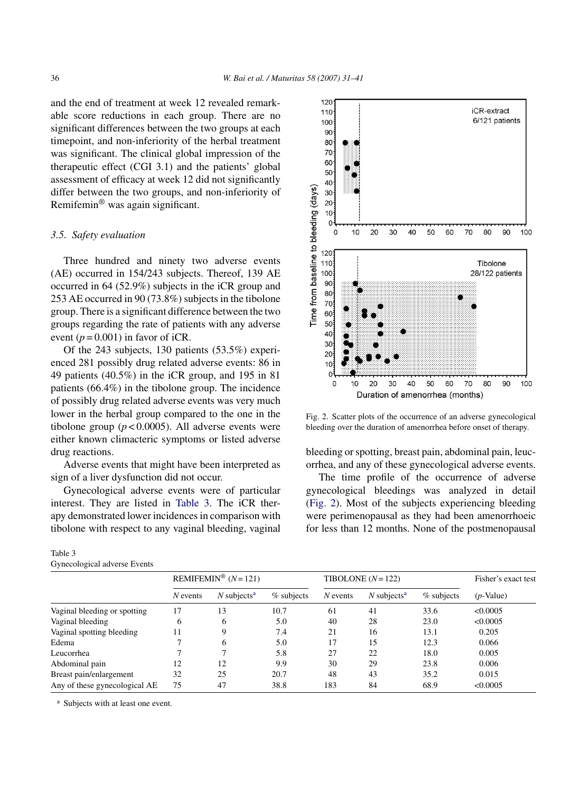and the end of treatment at week 12 revealed remarkable score reductions in each group. There are no significant differences between the two groups at each timepoint, and non-inferiority of the herbal treatment was significant. The clinical global impression of the therapeutic effect (CGI 3.1) and the patients' global assessment of efficacy at week 12 did not significantly differ between the two groups, and non-inferiority of Remifemin® was again significant.

# *3.5. Safety evaluation*

Three hundred and ninety two adverse events (AE) occurred in 154/243 subjects. Thereof, 139 AE occurred in 64 (52.9%) subjects in the iCR group and 253 AE occurred in 90 (73.8%) subjects in the tibolone group. There is a significant difference between the two groups regarding the rate of patients with any adverse event  $(p = 0.001)$  in favor of iCR.

Of the 243 subjects, 130 patients (53.5%) experienced 281 possibly drug related adverse events: 86 in 49 patients (40.5%) in the iCR group, and 195 in 81 patients (66.4%) in the tibolone group. The incidence of possibly drug related adverse events was very much lower in the herbal group compared to the one in the tibolone group  $(p < 0.0005)$ . All adverse events were either known climacteric symptoms or listed adverse drug reactions.

Adverse events that might have been interpreted as sign of a liver dysfunction did not occur.

Gynecological adverse events were of particular interest. They are listed in Table 3. The iCR therapy demonstrated lower incidences in comparison with tibolone with respect to any vaginal bleeding, vaginal

## Table 3 Gynecological adverse Events



Fig. 2. Scatter plots of the occurrence of an adverse gynecological bleeding over the duration of amenorrhea before onset of therapy.

bleeding or spotting, breast pain, abdominal pain, leucorrhea, and any of these gynecological adverse events.

The time profile of the occurrence of adverse gynecological bleedings was analyzed in detail (Fig. 2). Most of the subjects experiencing bleeding were perimenopausal as they had been amenorrhoeic for less than 12 months. None of the postmenopausal

|                               | REMIFEMIN <sup>®</sup> $(N=121)$ |                           |              | TIBOLONE $(N = 122)$ |                           |            | Fisher's exact test |
|-------------------------------|----------------------------------|---------------------------|--------------|----------------------|---------------------------|------------|---------------------|
|                               | $N$ events                       | $N$ subjects <sup>a</sup> | $%$ subjects | $N$ events           | $N$ subjects <sup>a</sup> | % subjects | $(p$ -Value)        |
| Vaginal bleeding or spotting  | 17                               | 13                        | 10.7         | 61                   | 41                        | 33.6       | < 0.0005            |
| Vaginal bleeding              | 6                                | 6                         | 5.0          | 40                   | 28                        | 23.0       | < 0.0005            |
| Vaginal spotting bleeding     | 11                               | 9                         | 7.4          | 21                   | 16                        | 13.1       | 0.205               |
| Edema                         |                                  | 6                         | 5.0          | 17                   | 15                        | 12.3       | 0.066               |
| Leucorrhea                    |                                  | $\mathcal{L}$             | 5.8          | 27                   | 22                        | 18.0       | 0.005               |
| Abdominal pain                | 12                               | 12                        | 9.9          | 30                   | 29                        | 23.8       | 0.006               |
| Breast pain/enlargement       | 32                               | 25                        | 20.7         | 48                   | 43                        | 35.2       | 0.015               |
| Any of these gynecological AE | 75                               | 47                        | 38.8         | 183                  | 84                        | 68.9       | < 0.0005            |

<sup>a</sup> Subjects with at least one event.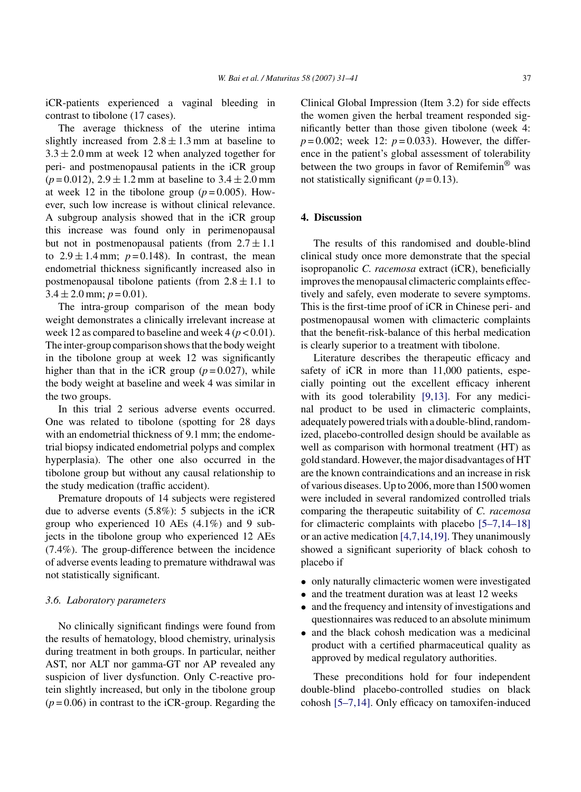iCR-patients experienced a vaginal bleeding in contrast to tibolone (17 cases).

The average thickness of the uterine intima slightly increased from  $2.8 \pm 1.3$  mm at baseline to  $3.3 \pm 2.0$  mm at week 12 when analyzed together for peri- and postmenopausal patients in the iCR group  $(p=0.012)$ ,  $2.9 \pm 1.2$  mm at baseline to  $3.4 \pm 2.0$  mm at week 12 in the tibolone group  $(p=0.005)$ . However, such low increase is without clinical relevance. A subgroup analysis showed that in the iCR group this increase was found only in perimenopausal but not in postmenopausal patients (from  $2.7 \pm 1.1$ ) to  $2.9 \pm 1.4$  mm;  $p = 0.148$ ). In contrast, the mean endometrial thickness significantly increased also in postmenopausal tibolone patients (from  $2.8 \pm 1.1$  to  $3.4 \pm 2.0$  mm;  $p = 0.01$ ).

The intra-group comparison of the mean body weight demonstrates a clinically irrelevant increase at week 12 as compared to baseline and week  $4 (p < 0.01)$ . The inter-group comparison shows that the body weight in the tibolone group at week 12 was significantly higher than that in the iCR group  $(p=0.027)$ , while the body weight at baseline and week 4 was similar in the two groups.

In this trial 2 serious adverse events occurred. One was related to tibolone (spotting for 28 days with an endometrial thickness of 9.1 mm; the endometrial biopsy indicated endometrial polyps and complex hyperplasia). The other one also occurred in the tibolone group but without any causal relationship to the study medication (traffic accident).

Premature dropouts of 14 subjects were registered due to adverse events (5.8%): 5 subjects in the iCR group who experienced 10 AEs (4.1%) and 9 subjects in the tibolone group who experienced 12 AEs (7.4%). The group-difference between the incidence of adverse events leading to premature withdrawal was not statistically significant.

## *3.6. Laboratory parameters*

No clinically significant findings were found from the results of hematology, blood chemistry, urinalysis during treatment in both groups. In particular, neither AST, nor ALT nor gamma-GT nor AP revealed any suspicion of liver dysfunction. Only C-reactive protein slightly increased, but only in the tibolone group  $(p=0.06)$  in contrast to the iCR-group. Regarding the

Clinical Global Impression (Item 3.2) for side effects the women given the herbal treament responded significantly better than those given tibolone (week 4:  $p = 0.002$ ; week 12:  $p = 0.033$ ). However, the difference in the patient's global assessment of tolerability between the two groups in favor of Remifemin® was not statistically significant  $(p=0.13)$ .

# **4. Discussion**

The results of this randomised and double-blind clinical study once more demonstrate that the special isopropanolic *C. racemosa* extract (iCR), beneficially improves the menopausal climacteric complaints effectively and safely, even moderate to severe symptoms. This is the first-time proof of iCR in Chinese peri- and postmenopausal women with climacteric complaints that the benefit-risk-balance of this herbal medication is clearly superior to a treatment with tibolone.

Literature describes the therapeutic efficacy and safety of iCR in more than 11,000 patients, especially pointing out the excellent efficacy inherent with its good tolerability [\[9,13\].](#page-9-0) For any medicinal product to be used in climacteric complaints, adequately powered trials with a double-blind, randomized, placebo-controlled design should be available as well as comparison with hormonal treatment (HT) as gold standard. However, the major disadvantages of HT are the known contraindications and an increase in risk of various diseases. Up to 2006, more than 1500 women were included in several randomized controlled trials comparing the therapeutic suitability of *C. racemosa* for climacteric complaints with placebo [\[5–7,14–18\]](#page-9-0) or an active medication [\[4,7,14,19\]. T](#page-9-0)hey unanimously showed a significant superiority of black cohosh to placebo if

- only naturally climacteric women were investigated
- and the treatment duration was at least 12 weeks
- and the frequency and intensity of investigations and questionnaires was reduced to an absolute minimum
- and the black cohosh medication was a medicinal product with a certified pharmaceutical quality as approved by medical regulatory authorities.

These preconditions hold for four independent double-blind placebo-controlled studies on black cohosh [\[5–7,14\].](#page-9-0) Only efficacy on tamoxifen-induced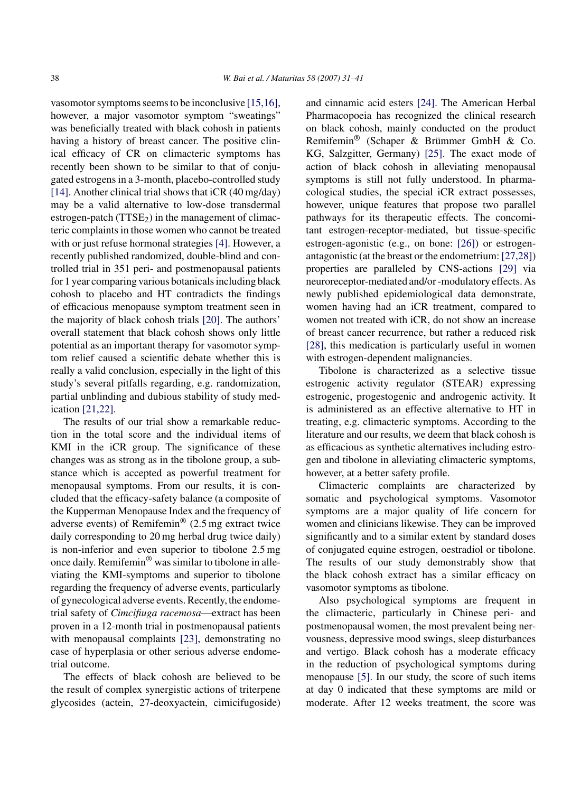vasomotor symptoms seems to be inconclusive [\[15,16\],](#page-9-0) however, a major vasomotor symptom "sweatings" was beneficially treated with black cohosh in patients having a history of breast cancer. The positive clinical efficacy of CR on climacteric symptoms has recently been shown to be similar to that of conjugated estrogens in a 3-month, placebo-controlled study [\[14\]. A](#page-9-0)nother clinical trial shows that  $iCR$  (40 mg/day) may be a valid alternative to low-dose transdermal estrogen-patch  $(TTSE<sub>2</sub>)$  in the management of climacteric complaints in those women who cannot be treated with or just refuse hormonal strategies [\[4\].](#page-9-0) However, a recently published randomized, double-blind and controlled trial in 351 peri- and postmenopausal patients for 1 year comparing various botanicals including black cohosh to placebo and HT contradicts the findings of efficacious menopause symptom treatment seen in the majority of black cohosh trials [\[20\].](#page-9-0) The authors' overall statement that black cohosh shows only little potential as an important therapy for vasomotor symptom relief caused a scientific debate whether this is really a valid conclusion, especially in the light of this study's several pitfalls regarding, e.g. randomization, partial unblinding and dubious stability of study medication [\[21,22\].](#page-9-0)

The results of our trial show a remarkable reduction in the total score and the individual items of KMI in the iCR group. The significance of these changes was as strong as in the tibolone group, a substance which is accepted as powerful treatment for menopausal symptoms. From our results, it is concluded that the efficacy-safety balance (a composite of the Kupperman Menopause Index and the frequency of adverse events) of Remifemin® (2.5 mg extract twice daily corresponding to 20 mg herbal drug twice daily) is non-inferior and even superior to tibolone 2.5 mg once daily. Remifemin® was similar to tibolone in alleviating the KMI-symptoms and superior to tibolone regarding the frequency of adverse events, particularly of gynecological adverse events. Recently, the endometrial safety of *Cimcifiuga racemosa*—extract has been proven in a 12-month trial in postmenopausal patients with menopausal complaints [\[23\],](#page-9-0) demonstrating no case of hyperplasia or other serious adverse endometrial outcome.

The effects of black cohosh are believed to be the result of complex synergistic actions of triterpene glycosides (actein, 27-deoxyactein, cimicifugoside) and cinnamic acid esters [\[24\].](#page-9-0) The American Herbal Pharmacopoeia has recognized the clinical research on black cohosh, mainly conducted on the product Remifemin<sup>®</sup> (Schaper & Brümmer GmbH & Co. KG, Salzgitter, Germany) [\[25\].](#page-9-0) The exact mode of action of black cohosh in alleviating menopausal symptoms is still not fully understood. In pharmacological studies, the special iCR extract possesses, however, unique features that propose two parallel pathways for its therapeutic effects. The concomitant estrogen-receptor-mediated, but tissue-specific estrogen-agonistic (e.g., on bone: [\[26\]\)](#page-9-0) or estrogenantagonistic (at the breast or the endometrium: [\[27,28\]\)](#page-9-0) properties are paralleled by CNS-actions [\[29\]](#page-9-0) via neuroreceptor-mediated and/or -modulatory effects. As newly published epidemiological data demonstrate, women having had an iCR treatment, compared to women not treated with iCR, do not show an increase of breast cancer recurrence, but rather a reduced risk [\[28\],](#page-9-0) this medication is particularly useful in women with estrogen-dependent malignancies.

Tibolone is characterized as a selective tissue estrogenic activity regulator (STEAR) expressing estrogenic, progestogenic and androgenic activity. It is administered as an effective alternative to HT in treating, e.g. climacteric symptoms. According to the literature and our results, we deem that black cohosh is as efficacious as synthetic alternatives including estrogen and tibolone in alleviating climacteric symptoms, however, at a better safety profile.

Climacteric complaints are characterized by somatic and psychological symptoms. Vasomotor symptoms are a major quality of life concern for women and clinicians likewise. They can be improved significantly and to a similar extent by standard doses of conjugated equine estrogen, oestradiol or tibolone. The results of our study demonstrably show that the black cohosh extract has a similar efficacy on vasomotor symptoms as tibolone.

Also psychological symptoms are frequent in the climacteric, particularly in Chinese peri- and postmenopausal women, the most prevalent being nervousness, depressive mood swings, sleep disturbances and vertigo. Black cohosh has a moderate efficacy in the reduction of psychological symptoms during menopause [\[5\].](#page-9-0) In our study, the score of such items at day 0 indicated that these symptoms are mild or moderate. After 12 weeks treatment, the score was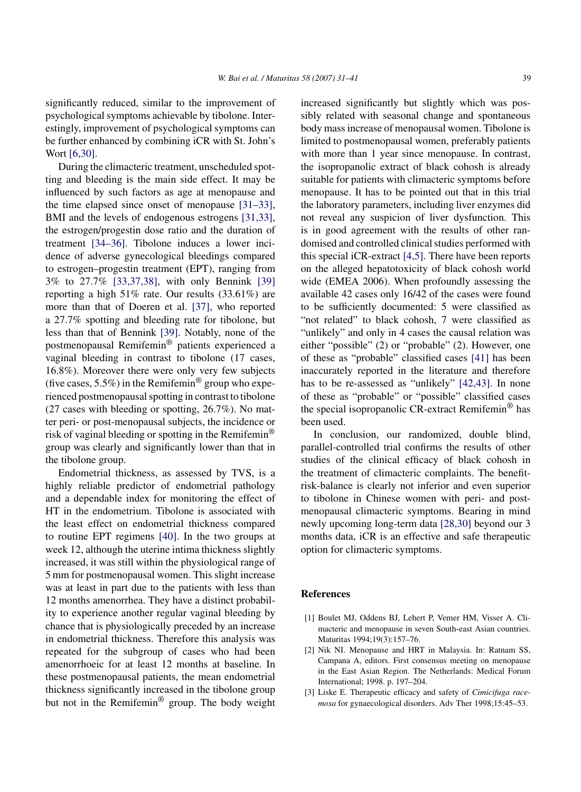<span id="page-8-0"></span>significantly reduced, similar to the improvement of psychological symptoms achievable by tibolone. Interestingly, improvement of psychological symptoms can be further enhanced by combining iCR with St. John's Wort [\[6,30\].](#page-9-0)

During the climacteric treatment, unscheduled spotting and bleeding is the main side effect. It may be influenced by such factors as age at menopause and the time elapsed since onset of menopause [\[31–33\],](#page-9-0) BMI and the levels of endogenous estrogens [\[31,33\],](#page-9-0) the estrogen/progestin dose ratio and the duration of treatment [\[34–36\].](#page-9-0) Tibolone induces a lower incidence of adverse gynecological bleedings compared to estrogen–progestin treatment (EPT), ranging from 3% to 27.7% [\[33,37,38\],](#page-9-0) with only Bennink [\[39\]](#page-10-0) reporting a high 51% rate. Our results (33.61%) are more than that of Doeren et al. [\[37\],](#page-10-0) who reported a 27.7% spotting and bleeding rate for tibolone, but less than that of Bennink [\[39\].](#page-10-0) Notably, none of the postmenopausal Remifemin® patients experienced a vaginal bleeding in contrast to tibolone (17 cases, 16.8%). Moreover there were only very few subjects (five cases,  $5.5\%$ ) in the Remifemin<sup>®</sup> group who experienced postmenopausal spotting in contrast to tibolone (27 cases with bleeding or spotting, 26.7%). No matter peri- or post-menopausal subjects, the incidence or risk of vaginal bleeding or spotting in the Remifemin® group was clearly and significantly lower than that in the tibolone group.

Endometrial thickness, as assessed by TVS, is a highly reliable predictor of endometrial pathology and a dependable index for monitoring the effect of HT in the endometrium. Tibolone is associated with the least effect on endometrial thickness compared to routine EPT regimens [\[40\].](#page-10-0) In the two groups at week 12, although the uterine intima thickness slightly increased, it was still within the physiological range of 5 mm for postmenopausal women. This slight increase was at least in part due to the patients with less than 12 months amenorrhea. They have a distinct probability to experience another regular vaginal bleeding by chance that is physiologically preceded by an increase in endometrial thickness. Therefore this analysis was repeated for the subgroup of cases who had been amenorrhoeic for at least 12 months at baseline. In these postmenopausal patients, the mean endometrial thickness significantly increased in the tibolone group but not in the Remifemin® group. The body weight increased significantly but slightly which was possibly related with seasonal change and spontaneous body mass increase of menopausal women. Tibolone is limited to postmenopausal women, preferably patients with more than 1 year since menopause. In contrast, the isopropanolic extract of black cohosh is already suitable for patients with climacteric symptoms before menopause. It has to be pointed out that in this trial the laboratory parameters, including liver enzymes did not reveal any suspicion of liver dysfunction. This is in good agreement with the results of other randomised and controlled clinical studies performed with this special iCR-extract [\[4,5\]. T](#page-9-0)here have been reports on the alleged hepatotoxicity of black cohosh world wide (EMEA 2006). When profoundly assessing the available 42 cases only 16/42 of the cases were found to be sufficiently documented: 5 were classified as "not related" to black cohosh, 7 were classified as "unlikely" and only in 4 cases the causal relation was either "possible" (2) or "probable" (2). However, one of these as "probable" classified cases [\[41\]](#page-10-0) has been inaccurately reported in the literature and therefore has to be re-assessed as "unlikely" [\[42,43\].](#page-10-0) In none of these as "probable" or "possible" classified cases the special isopropanolic CR-extract Remifemin® has been used.

In conclusion, our randomized, double blind, parallel-controlled trial confirms the results of other studies of the clinical efficacy of black cohosh in the treatment of climacteric complaints. The benefitrisk-balance is clearly not inferior and even superior to tibolone in Chinese women with peri- and postmenopausal climacteric symptoms. Bearing in mind newly upcoming long-term data [\[28,30\]](#page-9-0) beyond our 3 months data, iCR is an effective and safe therapeutic option for climacteric symptoms.

## **References**

- [1] Boulet MJ, Oddens BJ, Lehert P, Vemer HM, Visser A. Climacteric and menopause in seven South-east Asian countries. Maturitas 1994;19(3):157–76.
- [2] Nik NI. Menopause and HRT in Malaysia. In: Ratnam SS, Campana A, editors. First consensus meeting on menopause in the East Asian Region. The Netherlands: Medical Forum International; 1998. p. 197–204.
- [3] Liske E. Therapeutic efficacy and safety of *Cimicifuga racemosa* for gynaecological disorders. Adv Ther 1998;15:45–53.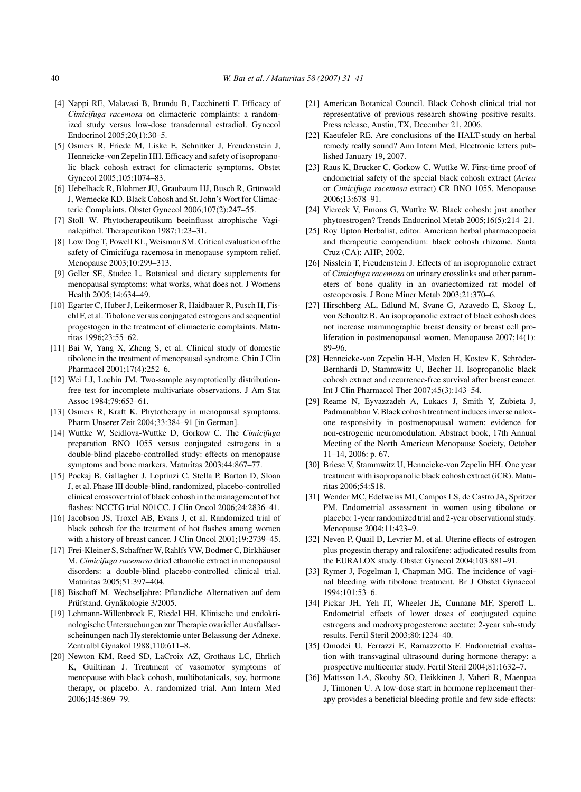- <span id="page-9-0"></span>[4] Nappi RE, Malavasi B, Brundu B, Facchinetti F. Efficacy of *Cimicifuga racemosa* on climacteric complaints: a randomized study versus low-dose transdermal estradiol. Gynecol Endocrinol 2005;20(1):30–5.
- [5] Osmers R, Friede M, Liske E, Schnitker J, Freudenstein J, Henneicke-von Zepelin HH. Efficacy and safety of isopropanolic black cohosh extract for climacteric symptoms. Obstet Gynecol 2005;105:1074–83.
- [6] Uebelhack R, Blohmer JU, Graubaum HJ, Busch R, Grünwald J, Wernecke KD. Black Cohosh and St. John's Wort for Climacteric Complaints. Obstet Gynecol 2006;107(2):247–55.
- [7] Stoll W. Phytotherapeutikum beeinflusst atrophische Vaginalepithel. Therapeutikon 1987;1:23–31.
- [8] Low Dog T, Powell KL, Weisman SM. Critical evaluation of the safety of Cimicifuga racemosa in menopause symptom relief. Menopause 2003;10:299–313.
- [9] Geller SE, Studee L. Botanical and dietary supplements for menopausal symptoms: what works, what does not. J Womens Health 2005;14:634–49.
- [10] Egarter C, Huber J, Leikermoser R, Haidbauer R, Pusch H, Fischl F, et al. Tibolone versus conjugated estrogens and sequential progestogen in the treatment of climacteric complaints. Maturitas 1996;23:55–62.
- [11] Bai W, Yang X, Zheng S, et al. Clinical study of domestic tibolone in the treatment of menopausal syndrome. Chin J Clin Pharmacol 2001;17(4):252–6.
- [12] Wei LJ, Lachin JM. Two-sample asymptotically distributionfree test for incomplete multivariate observations. J Am Stat Assoc 1984;79:653–61.
- [13] Osmers R, Kraft K. Phytotherapy in menopausal symptoms. Pharm Unserer Zeit 2004;33:384–91 [in German].
- [14] Wuttke W, Seidlova-Wuttke D, Gorkow C. The *Cimicifuga* preparation BNO 1055 versus conjugated estrogens in a double-blind placebo-controlled study: effects on menopause symptoms and bone markers. Maturitas 2003;44:867–77.
- [15] Pockaj B, Gallagher J, Loprinzi C, Stella P, Barton D, Sloan J, et al. Phase III double-blind, randomized, placebo-controlled clinical crossover trial of black cohosh in the management of hot flashes: NCCTG trial N01CC. J Clin Oncol 2006;24:2836–41.
- [16] Jacobson JS, Troxel AB, Evans J, et al. Randomized trial of black cohosh for the treatment of hot flashes among women with a history of breast cancer. J Clin Oncol 2001;19:2739–45.
- [17] Frei-Kleiner S, Schaffner W, Rahlfs VW, Bodmer C, Birkhäuser M. *Cimicifuga racemosa* dried ethanolic extract in menopausal disorders: a double-blind placebo-controlled clinical trial. Maturitas 2005;51:397–404.
- [18] Bischoff M. Wechseljahre: Pflanzliche Alternativen auf dem Prüfstand. Gynäkologie 3/2005.
- [19] Lehmann-Willenbrock E, Riedel HH. Klinische und endokrinologische Untersuchungen zur Therapie ovarieller Ausfallserscheinungen nach Hysterektomie unter Belassung der Adnexe. Zentralbl Gynakol 1988;110:611–8.
- [20] Newton KM, Reed SD, LaCroix AZ, Grothaus LC, Ehrlich K, Guiltinan J. Treatment of vasomotor symptoms of menopause with black cohosh, multibotanicals, soy, hormone therapy, or placebo. A. randomized trial. Ann Intern Med 2006;145:869–79.
- [21] American Botanical Council. Black Cohosh clinical trial not representative of previous research showing positive results. Press release, Austin, TX, December 21, 2006.
- [22] Kaeufeler RE. Are conclusions of the HALT-study on herbal remedy really sound? Ann Intern Med, Electronic letters published January 19, 2007.
- [23] Raus K, Brucker C, Gorkow C, Wuttke W. First-time proof of endometrial safety of the special black cohosh extract (*Actea* or *Cimicifuga racemosa* extract) CR BNO 1055. Menopause 2006;13:678–91.
- [24] Viereck V, Emons G, Wuttke W. Black cohosh: just another phytoestrogen? Trends Endocrinol Metab 2005;16(5):214–21.
- [25] Roy Upton Herbalist, editor. American herbal pharmacopoeia and therapeutic compendium: black cohosh rhizome. Santa Cruz (CA): AHP; 2002.
- [26] Nisslein T, Freudenstein J. Effects of an isopropanolic extract of *Cimicifuga racemosa* on urinary crosslinks and other parameters of bone quality in an ovariectomized rat model of osteoporosis. J Bone Miner Metab 2003;21:370–6.
- [27] Hirschberg AL, Edlund M, Svane G, Azavedo E, Skoog L, von Schoultz B. An isopropanolic extract of black cohosh does not increase mammographic breast density or breast cell proliferation in postmenopausal women. Menopause 2007;14(1): 89–96.
- [28] Henneicke-von Zepelin H-H, Meden H, Kostev K, Schröder-Bernhardi D, Stammwitz U, Becher H. Isopropanolic black cohosh extract and recurrence-free survival after breast cancer. Int J Clin Pharmacol Ther 2007;45(3):143–54.
- [29] Reame N, Eyvazzadeh A, Lukacs J, Smith Y, Zubieta J, Padmanabhan V. Black cohosh treatment induces inverse naloxone responsivity in postmenopausal women: evidence for non-estrogenic neuromodulation. Abstract book, 17th Annual Meeting of the North American Menopause Society, October 11–14, 2006: p. 67.
- [30] Briese V, Stammwitz U, Henneicke-von Zepelin HH. One year treatment with isopropanolic black cohosh extract (iCR). Maturitas 2006;54:S18.
- [31] Wender MC, Edelweiss MI, Campos LS, de Castro JA, Spritzer PM. Endometrial assessment in women using tibolone or placebo: 1-year randomized trial and 2-year observational study. Menopause 2004;11:423–9.
- [32] Neven P, Quail D, Levrier M, et al. Uterine effects of estrogen plus progestin therapy and raloxifene: adjudicated results from the EURALOX study. Obstet Gynecol 2004;103:881–91.
- [33] Rymer J, Fogelman I, Chapman MG. The incidence of vaginal bleeding with tibolone treatment. Br J Obstet Gynaecol 1994;101:53–6.
- [34] Pickar JH, Yeh IT, Wheeler JE, Cunnane MF, Speroff L. Endometrial effects of lower doses of conjugated equine estrogens and medroxyprogesterone acetate: 2-year sub-study results. Fertil Steril 2003;80:1234–40.
- [35] Omodei U, Ferrazzi E, Ramazzotto F. Endometrial evaluation with transvaginal ultrasound during hormone therapy: a prospective multicenter study. Fertil Steril 2004;81:1632–7.
- [36] Mattsson LA, Skouby SO, Heikkinen J, Vaheri R, Maenpaa J, Timonen U. A low-dose start in hormone replacement therapy provides a beneficial bleeding profile and few side-effects: